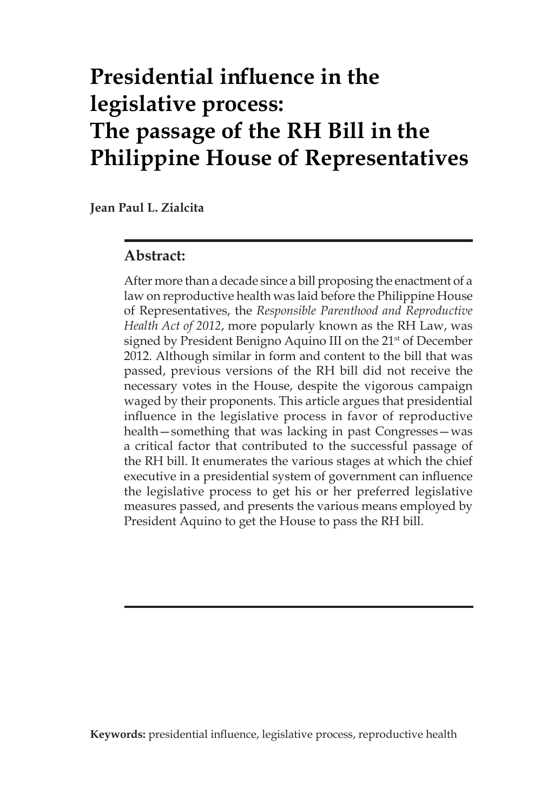# **Presidential influence in the legislative process: The passage of the RH Bill in the Philippine House of Representatives**

**Jean Paul L. Zialcita**

#### **Abstract:**

After more than a decade since a bill proposing the enactment of a law on reproductive health was laid before the Philippine House of Representatives, the *Responsible Parenthood and Reproductive Health Act of 2012*, more popularly known as the RH Law, was signed by President Benigno Aquino III on the 21<sup>st</sup> of December 2012. Although similar in form and content to the bill that was passed, previous versions of the RH bill did not receive the necessary votes in the House, despite the vigorous campaign waged by their proponents. This article argues that presidential influence in the legislative process in favor of reproductive health—something that was lacking in past Congresses—was a critical factor that contributed to the successful passage of the RH bill. It enumerates the various stages at which the chief executive in a presidential system of government can influence the legislative process to get his or her preferred legislative measures passed, and presents the various means employed by President Aquino to get the House to pass the RH bill.

**Keywords:** presidential influence, legislative process, reproductive health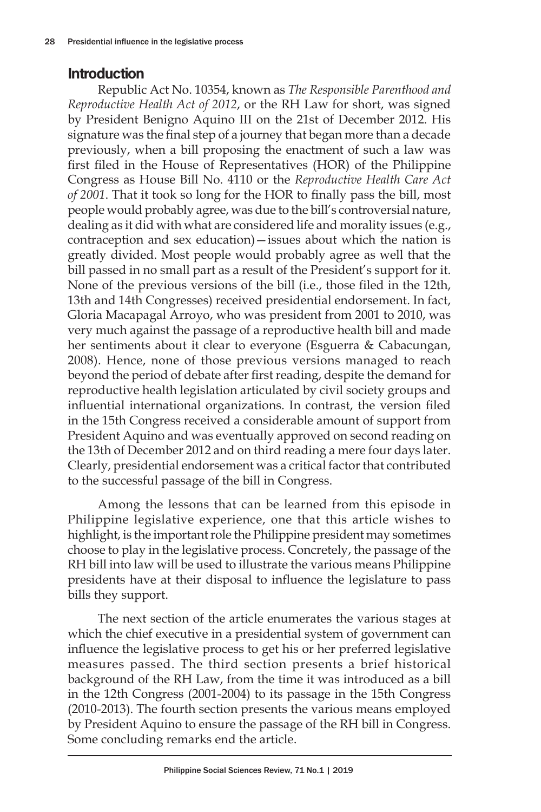# Introduction

Republic Act No. 10354, known as *The Responsible Parenthood and Reproductive Health Act of 2012*, or the RH Law for short, was signed by President Benigno Aquino III on the 21st of December 2012. His signature was the final step of a journey that began more than a decade previously, when a bill proposing the enactment of such a law was first filed in the House of Representatives (HOR) of the Philippine Congress as House Bill No. 4110 or the *Reproductive Health Care Act of 2001*. That it took so long for the HOR to finally pass the bill, most people would probably agree, was due to the bill's controversial nature, dealing as it did with what are considered life and morality issues (e.g., contraception and sex education)—issues about which the nation is greatly divided. Most people would probably agree as well that the bill passed in no small part as a result of the President's support for it. None of the previous versions of the bill (i.e., those filed in the 12th, 13th and 14th Congresses) received presidential endorsement. In fact, Gloria Macapagal Arroyo, who was president from 2001 to 2010, was very much against the passage of a reproductive health bill and made her sentiments about it clear to everyone (Esguerra & Cabacungan, 2008). Hence, none of those previous versions managed to reach beyond the period of debate after first reading, despite the demand for reproductive health legislation articulated by civil society groups and influential international organizations. In contrast, the version filed in the 15th Congress received a considerable amount of support from President Aquino and was eventually approved on second reading on the 13th of December 2012 and on third reading a mere four days later. Clearly, presidential endorsement was a critical factor that contributed to the successful passage of the bill in Congress.

Among the lessons that can be learned from this episode in Philippine legislative experience, one that this article wishes to highlight, is the important role the Philippine president may sometimes choose to play in the legislative process. Concretely, the passage of the RH bill into law will be used to illustrate the various means Philippine presidents have at their disposal to influence the legislature to pass bills they support.

The next section of the article enumerates the various stages at which the chief executive in a presidential system of government can influence the legislative process to get his or her preferred legislative measures passed. The third section presents a brief historical background of the RH Law, from the time it was introduced as a bill in the 12th Congress (2001-2004) to its passage in the 15th Congress (2010-2013). The fourth section presents the various means employed by President Aquino to ensure the passage of the RH bill in Congress. Some concluding remarks end the article.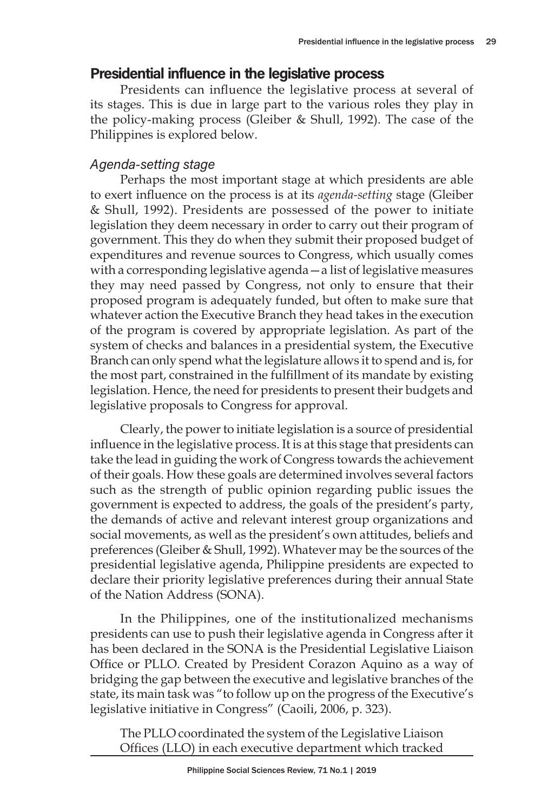# Presidential influence in the legislative process

Presidents can influence the legislative process at several of its stages. This is due in large part to the various roles they play in the policy-making process (Gleiber & Shull, 1992). The case of the Philippines is explored below.

## Agenda-setting stage

Perhaps the most important stage at which presidents are able to exert influence on the process is at its *agenda-setting* stage (Gleiber & Shull, 1992). Presidents are possessed of the power to initiate legislation they deem necessary in order to carry out their program of government. This they do when they submit their proposed budget of expenditures and revenue sources to Congress, which usually comes with a corresponding legislative agenda—a list of legislative measures they may need passed by Congress, not only to ensure that their proposed program is adequately funded, but often to make sure that whatever action the Executive Branch they head takes in the execution of the program is covered by appropriate legislation. As part of the system of checks and balances in a presidential system, the Executive Branch can only spend what the legislature allows it to spend and is, for the most part, constrained in the fulfillment of its mandate by existing legislation. Hence, the need for presidents to present their budgets and legislative proposals to Congress for approval.

Clearly, the power to initiate legislation is a source of presidential influence in the legislative process. It is at this stage that presidents can take the lead in guiding the work of Congress towards the achievement of their goals. How these goals are determined involves several factors such as the strength of public opinion regarding public issues the government is expected to address, the goals of the president's party, the demands of active and relevant interest group organizations and social movements, as well as the president's own attitudes, beliefs and preferences (Gleiber & Shull, 1992). Whatever may be the sources of the presidential legislative agenda, Philippine presidents are expected to declare their priority legislative preferences during their annual State of the Nation Address (SONA).

In the Philippines, one of the institutionalized mechanisms presidents can use to push their legislative agenda in Congress after it has been declared in the SONA is the Presidential Legislative Liaison Office or PLLO. Created by President Corazon Aquino as a way of bridging the gap between the executive and legislative branches of the state, its main task was "to follow up on the progress of the Executive's legislative initiative in Congress" (Caoili, 2006, p. 323).

The PLLO coordinated the system of the Legislative Liaison Offices (LLO) in each executive department which tracked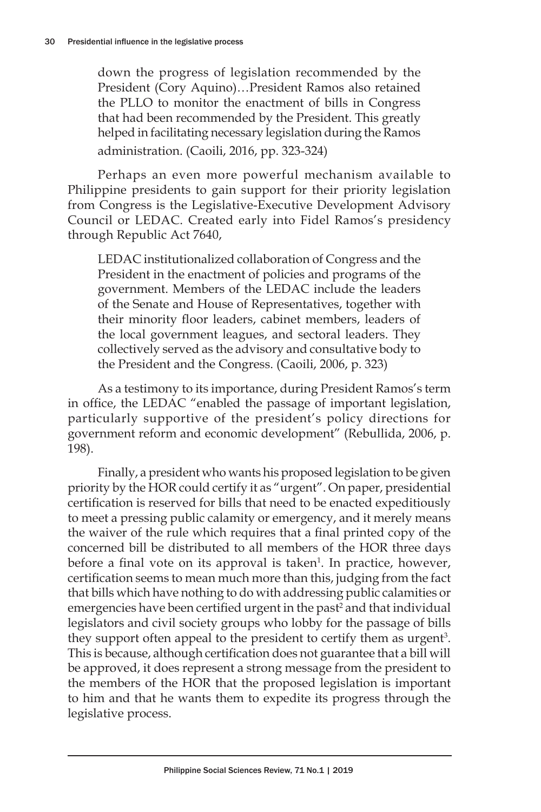down the progress of legislation recommended by the President (Cory Aquino)…President Ramos also retained the PLLO to monitor the enactment of bills in Congress that had been recommended by the President. This greatly helped in facilitating necessary legislation during the Ramos administration. (Caoili, 2016, pp. 323-324)

Perhaps an even more powerful mechanism available to Philippine presidents to gain support for their priority legislation from Congress is the Legislative-Executive Development Advisory Council or LEDAC. Created early into Fidel Ramos's presidency through Republic Act 7640,

LEDAC institutionalized collaboration of Congress and the President in the enactment of policies and programs of the government. Members of the LEDAC include the leaders of the Senate and House of Representatives, together with their minority floor leaders, cabinet members, leaders of the local government leagues, and sectoral leaders. They collectively served as the advisory and consultative body to the President and the Congress. (Caoili, 2006, p. 323)

As a testimony to its importance, during President Ramos's term in office, the LEDAC "enabled the passage of important legislation, particularly supportive of the president's policy directions for government reform and economic development" (Rebullida, 2006, p. 198).

Finally, a president who wants his proposed legislation to be given priority by the HOR could certify it as "urgent". On paper, presidential certification is reserved for bills that need to be enacted expeditiously to meet a pressing public calamity or emergency, and it merely means the waiver of the rule which requires that a final printed copy of the concerned bill be distributed to all members of the HOR three days before a final vote on its approval is taken<sup>1</sup>. In practice, however, certification seems to mean much more than this, judging from the fact that bills which have nothing to do with addressing public calamities or emergencies have been certified urgent in the past<sup>2</sup> and that individual legislators and civil society groups who lobby for the passage of bills they support often appeal to the president to certify them as urgent<sup>3</sup>. This is because, although certification does not guarantee that a bill will be approved, it does represent a strong message from the president to the members of the HOR that the proposed legislation is important to him and that he wants them to expedite its progress through the legislative process.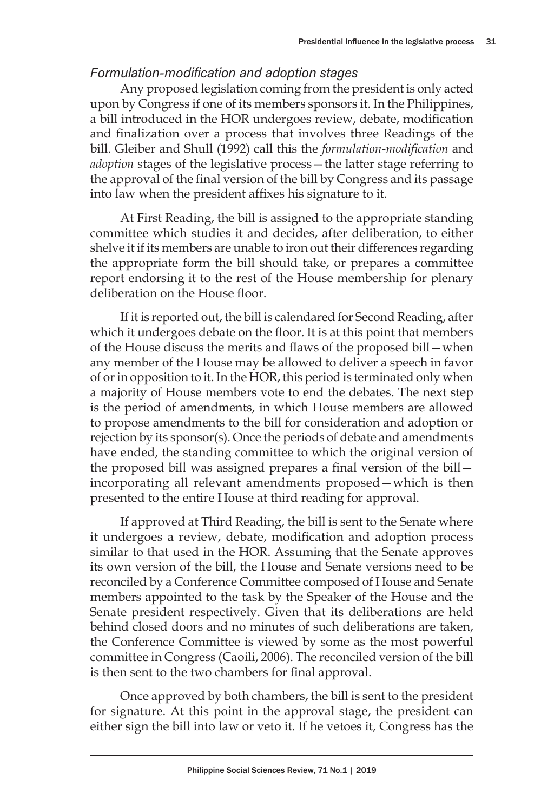## Formulation-modification and adoption stages

Any proposed legislation coming from the president is only acted upon by Congress if one of its members sponsors it. In the Philippines, a bill introduced in the HOR undergoes review, debate, modification and finalization over a process that involves three Readings of the bill. Gleiber and Shull (1992) call this the *formulation-modification* and *adoption* stages of the legislative process—the latter stage referring to the approval of the final version of the bill by Congress and its passage into law when the president affixes his signature to it.

At First Reading, the bill is assigned to the appropriate standing committee which studies it and decides, after deliberation, to either shelve it if its members are unable to iron out their differences regarding the appropriate form the bill should take, or prepares a committee report endorsing it to the rest of the House membership for plenary deliberation on the House floor.

If it is reported out, the bill is calendared for Second Reading, after which it undergoes debate on the floor. It is at this point that members of the House discuss the merits and flaws of the proposed bill—when any member of the House may be allowed to deliver a speech in favor of or in opposition to it. In the HOR, this period is terminated only when a majority of House members vote to end the debates. The next step is the period of amendments, in which House members are allowed to propose amendments to the bill for consideration and adoption or rejection by its sponsor(s). Once the periods of debate and amendments have ended, the standing committee to which the original version of the proposed bill was assigned prepares a final version of the bill incorporating all relevant amendments proposed—which is then presented to the entire House at third reading for approval.

If approved at Third Reading, the bill is sent to the Senate where it undergoes a review, debate, modification and adoption process similar to that used in the HOR. Assuming that the Senate approves its own version of the bill, the House and Senate versions need to be reconciled by a Conference Committee composed of House and Senate members appointed to the task by the Speaker of the House and the Senate president respectively. Given that its deliberations are held behind closed doors and no minutes of such deliberations are taken, the Conference Committee is viewed by some as the most powerful committee in Congress (Caoili, 2006). The reconciled version of the bill is then sent to the two chambers for final approval.

Once approved by both chambers, the bill is sent to the president for signature. At this point in the approval stage, the president can either sign the bill into law or veto it. If he vetoes it, Congress has the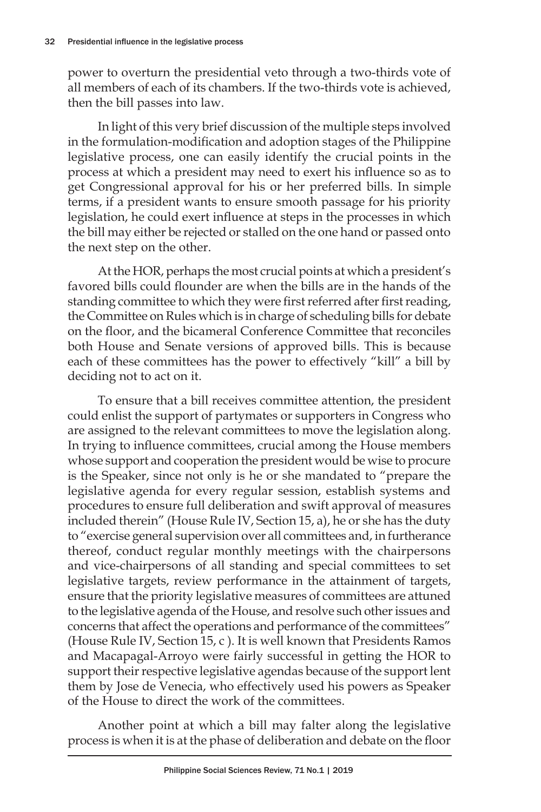power to overturn the presidential veto through a two-thirds vote of all members of each of its chambers. If the two-thirds vote is achieved, then the bill passes into law.

In light of this very brief discussion of the multiple steps involved in the formulation-modification and adoption stages of the Philippine legislative process, one can easily identify the crucial points in the process at which a president may need to exert his influence so as to get Congressional approval for his or her preferred bills. In simple terms, if a president wants to ensure smooth passage for his priority legislation, he could exert influence at steps in the processes in which the bill may either be rejected or stalled on the one hand or passed onto the next step on the other.

At the HOR, perhaps the most crucial points at which a president's favored bills could flounder are when the bills are in the hands of the standing committee to which they were first referred after first reading, the Committee on Rules which is in charge of scheduling bills for debate on the floor, and the bicameral Conference Committee that reconciles both House and Senate versions of approved bills. This is because each of these committees has the power to effectively "kill" a bill by deciding not to act on it.

To ensure that a bill receives committee attention, the president could enlist the support of partymates or supporters in Congress who are assigned to the relevant committees to move the legislation along. In trying to influence committees, crucial among the House members whose support and cooperation the president would be wise to procure is the Speaker, since not only is he or she mandated to "prepare the legislative agenda for every regular session, establish systems and procedures to ensure full deliberation and swift approval of measures included therein" (House Rule IV, Section 15, a), he or she has the duty to "exercise general supervision over all committees and, in furtherance thereof, conduct regular monthly meetings with the chairpersons and vice-chairpersons of all standing and special committees to set legislative targets, review performance in the attainment of targets, ensure that the priority legislative measures of committees are attuned to the legislative agenda of the House, and resolve such other issues and concerns that affect the operations and performance of the committees" (House Rule IV, Section 15, c ). It is well known that Presidents Ramos and Macapagal-Arroyo were fairly successful in getting the HOR to support their respective legislative agendas because of the support lent them by Jose de Venecia, who effectively used his powers as Speaker of the House to direct the work of the committees.

Another point at which a bill may falter along the legislative process is when it is at the phase of deliberation and debate on the floor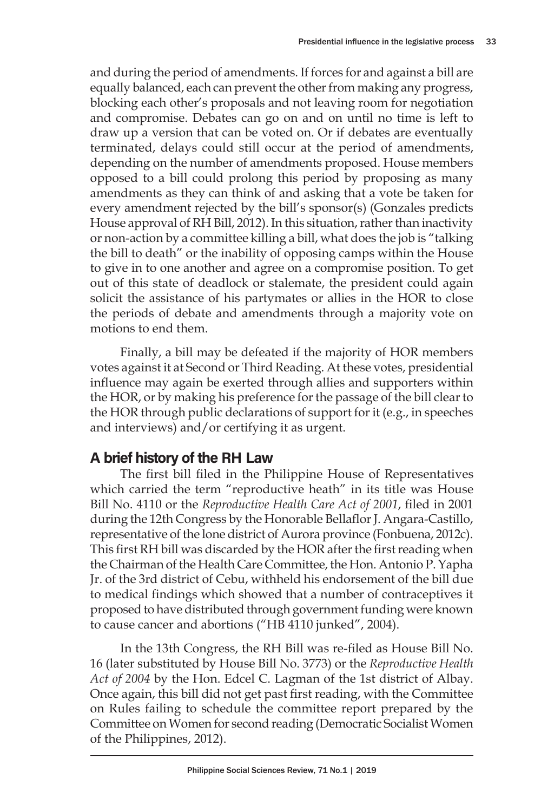and during the period of amendments. If forces for and against a bill are equally balanced, each can prevent the other from making any progress, blocking each other's proposals and not leaving room for negotiation and compromise. Debates can go on and on until no time is left to draw up a version that can be voted on. Or if debates are eventually terminated, delays could still occur at the period of amendments, depending on the number of amendments proposed. House members opposed to a bill could prolong this period by proposing as many amendments as they can think of and asking that a vote be taken for every amendment rejected by the bill's sponsor(s) (Gonzales predicts House approval of RH Bill, 2012). In this situation, rather than inactivity or non-action by a committee killing a bill, what does the job is "talking the bill to death" or the inability of opposing camps within the House to give in to one another and agree on a compromise position. To get out of this state of deadlock or stalemate, the president could again solicit the assistance of his partymates or allies in the HOR to close the periods of debate and amendments through a majority vote on motions to end them.

Finally, a bill may be defeated if the majority of HOR members votes against it at Second or Third Reading. At these votes, presidential influence may again be exerted through allies and supporters within the HOR, or by making his preference for the passage of the bill clear to the HOR through public declarations of support for it (e.g., in speeches and interviews) and/or certifying it as urgent.

## A brief history of the RH Law

The first bill filed in the Philippine House of Representatives which carried the term "reproductive heath" in its title was House Bill No. 4110 or the *Reproductive Health Care Act of 2001*, filed in 2001 during the 12th Congress by the Honorable Bellaflor J. Angara-Castillo, representative of the lone district of Aurora province (Fonbuena, 2012c). This first RH bill was discarded by the HOR after the first reading when the Chairman of the Health Care Committee, the Hon. Antonio P. Yapha Jr. of the 3rd district of Cebu, withheld his endorsement of the bill due to medical findings which showed that a number of contraceptives it proposed to have distributed through government funding were known to cause cancer and abortions ("HB 4110 junked", 2004).

In the 13th Congress, the RH Bill was re-filed as House Bill No. 16 (later substituted by House Bill No. 3773) or the *Reproductive Health Act of 2004* by the Hon. Edcel C. Lagman of the 1st district of Albay. Once again, this bill did not get past first reading, with the Committee on Rules failing to schedule the committee report prepared by the Committee on Women for second reading (Democratic Socialist Women of the Philippines, 2012).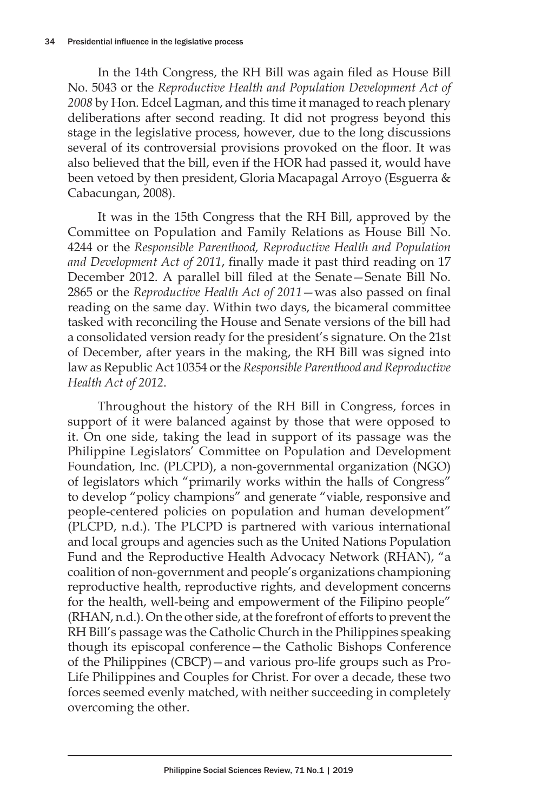In the 14th Congress, the RH Bill was again filed as House Bill No. 5043 or the *Reproductive Health and Population Development Act of 2008* by Hon. Edcel Lagman, and this time it managed to reach plenary deliberations after second reading. It did not progress beyond this stage in the legislative process, however, due to the long discussions several of its controversial provisions provoked on the floor. It was also believed that the bill, even if the HOR had passed it, would have been vetoed by then president, Gloria Macapagal Arroyo (Esguerra & Cabacungan, 2008).

It was in the 15th Congress that the RH Bill, approved by the Committee on Population and Family Relations as House Bill No. 4244 or the *Responsible Parenthood, Reproductive Health and Population and Development Act of 2011*, finally made it past third reading on 17 December 2012. A parallel bill filed at the Senate—Senate Bill No. 2865 or the *Reproductive Health Act of 2011*—was also passed on final reading on the same day. Within two days, the bicameral committee tasked with reconciling the House and Senate versions of the bill had a consolidated version ready for the president's signature. On the 21st of December, after years in the making, the RH Bill was signed into law as Republic Act 10354 or the *Responsible Parenthood and Reproductive Health Act of 2012*.

Throughout the history of the RH Bill in Congress, forces in support of it were balanced against by those that were opposed to it. On one side, taking the lead in support of its passage was the Philippine Legislators' Committee on Population and Development Foundation, Inc. (PLCPD), a non-governmental organization (NGO) of legislators which "primarily works within the halls of Congress" to develop "policy champions" and generate "viable, responsive and people-centered policies on population and human development" (PLCPD, n.d.). The PLCPD is partnered with various international and local groups and agencies such as the United Nations Population Fund and the Reproductive Health Advocacy Network (RHAN), "a coalition of non-government and people's organizations championing reproductive health, reproductive rights, and development concerns for the health, well-being and empowerment of the Filipino people" (RHAN, n.d.). On the other side, at the forefront of efforts to prevent the RH Bill's passage was the Catholic Church in the Philippines speaking though its episcopal conference—the Catholic Bishops Conference of the Philippines (CBCP)—and various pro-life groups such as Pro-Life Philippines and Couples for Christ. For over a decade, these two forces seemed evenly matched, with neither succeeding in completely overcoming the other.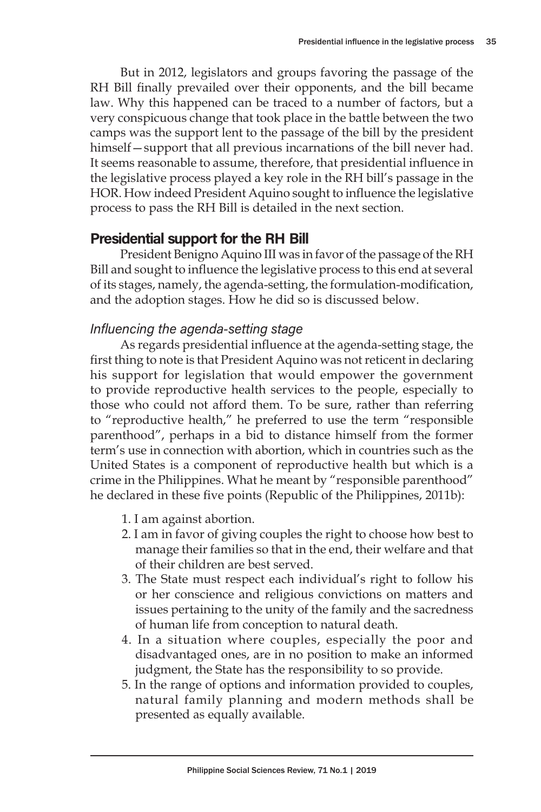But in 2012, legislators and groups favoring the passage of the RH Bill finally prevailed over their opponents, and the bill became law. Why this happened can be traced to a number of factors, but a very conspicuous change that took place in the battle between the two camps was the support lent to the passage of the bill by the president himself—support that all previous incarnations of the bill never had. It seems reasonable to assume, therefore, that presidential influence in the legislative process played a key role in the RH bill's passage in the HOR. How indeed President Aquino sought to influence the legislative process to pass the RH Bill is detailed in the next section.

## Presidential support for the RH Bill

President Benigno Aquino III was in favor of the passage of the RH Bill and sought to influence the legislative process to this end at several of its stages, namely, the agenda-setting, the formulation-modification, and the adoption stages. How he did so is discussed below.

## Influencing the agenda-setting stage

As regards presidential influence at the agenda-setting stage, the first thing to note is that President Aquino was not reticent in declaring his support for legislation that would empower the government to provide reproductive health services to the people, especially to those who could not afford them. To be sure, rather than referring to "reproductive health," he preferred to use the term "responsible parenthood", perhaps in a bid to distance himself from the former term's use in connection with abortion, which in countries such as the United States is a component of reproductive health but which is a crime in the Philippines. What he meant by "responsible parenthood" he declared in these five points (Republic of the Philippines, 2011b):

- 1. I am against abortion.
- 2. I am in favor of giving couples the right to choose how best to manage their families so that in the end, their welfare and that of their children are best served.
- 3. The State must respect each individual's right to follow his or her conscience and religious convictions on matters and issues pertaining to the unity of the family and the sacredness of human life from conception to natural death.
- 4. In a situation where couples, especially the poor and disadvantaged ones, are in no position to make an informed judgment, the State has the responsibility to so provide.
- 5. In the range of options and information provided to couples, natural family planning and modern methods shall be presented as equally available.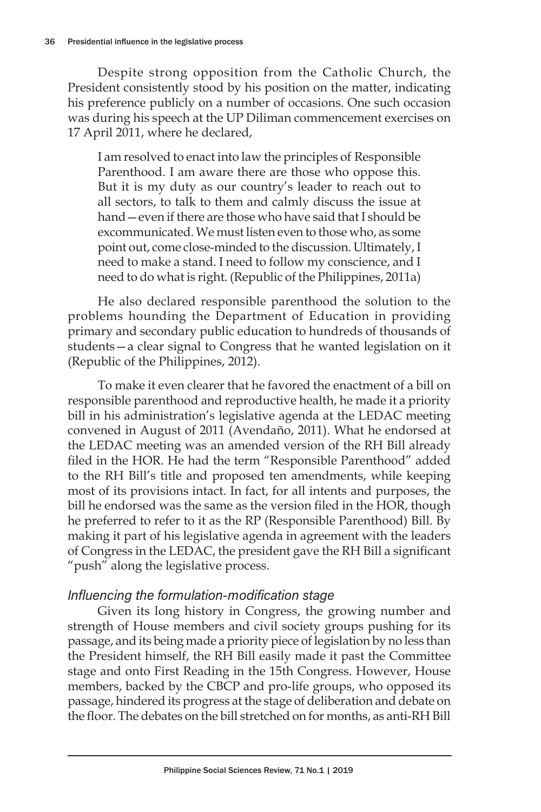Despite strong opposition from the Catholic Church, the President consistently stood by his position on the matter, indicating his preference publicly on a number of occasions. One such occasion was during his speech at the UP Diliman commencement exercises on 17 April 2011, where he declared,

I am resolved to enact into law the principles of Responsible Parenthood. I am aware there are those who oppose this. But it is my duty as our country's leader to reach out to all sectors, to talk to them and calmly discuss the issue at hand—even if there are those who have said that I should be excommunicated. We must listen even to those who, as some point out, come close-minded to the discussion. Ultimately, I need to make a stand. I need to follow my conscience, and I need to do what is right. (Republic of the Philippines, 2011a)

He also declared responsible parenthood the solution to the problems hounding the Department of Education in providing primary and secondary public education to hundreds of thousands of students—a clear signal to Congress that he wanted legislation on it (Republic of the Philippines, 2012).

To make it even clearer that he favored the enactment of a bill on responsible parenthood and reproductive health, he made it a priority bill in his administration's legislative agenda at the LEDAC meeting convened in August of 2011 (Avendaño, 2011). What he endorsed at the LEDAC meeting was an amended version of the RH Bill already filed in the HOR. He had the term "Responsible Parenthood" added to the RH Bill's title and proposed ten amendments, while keeping most of its provisions intact. In fact, for all intents and purposes, the bill he endorsed was the same as the version filed in the HOR, though he preferred to refer to it as the RP (Responsible Parenthood) Bill. By making it part of his legislative agenda in agreement with the leaders of Congress in the LEDAC, the president gave the RH Bill a significant "push" along the legislative process.

## Influencing the formulation-modification stage

Given its long history in Congress, the growing number and strength of House members and civil society groups pushing for its passage, and its being made a priority piece of legislation by no less than the President himself, the RH Bill easily made it past the Committee stage and onto First Reading in the 15th Congress. However, House members, backed by the CBCP and pro-life groups, who opposed its passage, hindered its progress at the stage of deliberation and debate on the floor. The debates on the bill stretched on for months, as anti-RH Bill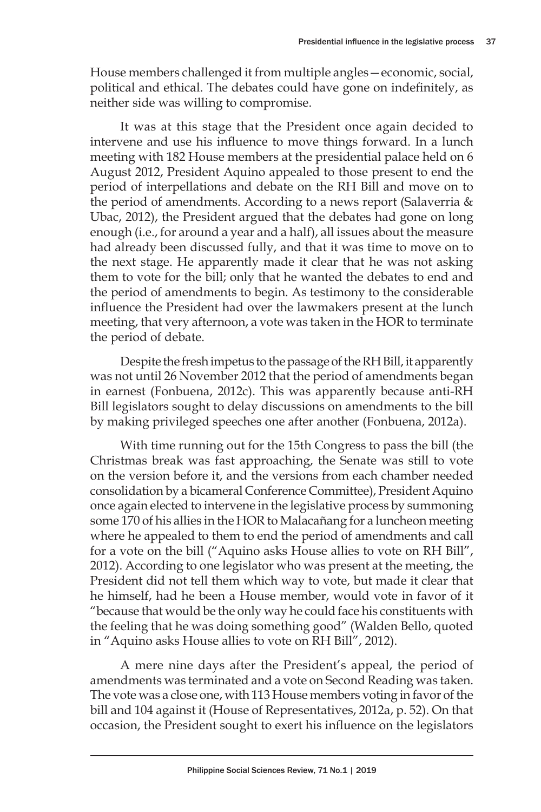House members challenged it from multiple angles—economic, social, political and ethical. The debates could have gone on indefinitely, as neither side was willing to compromise.

It was at this stage that the President once again decided to intervene and use his influence to move things forward. In a lunch meeting with 182 House members at the presidential palace held on 6 August 2012, President Aquino appealed to those present to end the period of interpellations and debate on the RH Bill and move on to the period of amendments. According to a news report (Salaverria & Ubac, 2012), the President argued that the debates had gone on long enough (i.e., for around a year and a half), all issues about the measure had already been discussed fully, and that it was time to move on to the next stage. He apparently made it clear that he was not asking them to vote for the bill; only that he wanted the debates to end and the period of amendments to begin. As testimony to the considerable influence the President had over the lawmakers present at the lunch meeting, that very afternoon, a vote was taken in the HOR to terminate the period of debate.

Despite the fresh impetus to the passage of the RH Bill, it apparently was not until 26 November 2012 that the period of amendments began in earnest (Fonbuena, 2012c). This was apparently because anti-RH Bill legislators sought to delay discussions on amendments to the bill by making privileged speeches one after another (Fonbuena, 2012a).

With time running out for the 15th Congress to pass the bill (the Christmas break was fast approaching, the Senate was still to vote on the version before it, and the versions from each chamber needed consolidation by a bicameral Conference Committee), President Aquino once again elected to intervene in the legislative process by summoning some 170 of his allies in the HOR to Malacañang for a luncheon meeting where he appealed to them to end the period of amendments and call for a vote on the bill ("Aquino asks House allies to vote on RH Bill", 2012). According to one legislator who was present at the meeting, the President did not tell them which way to vote, but made it clear that he himself, had he been a House member, would vote in favor of it "because that would be the only way he could face his constituents with the feeling that he was doing something good" (Walden Bello, quoted in "Aquino asks House allies to vote on RH Bill", 2012).

A mere nine days after the President's appeal, the period of amendments was terminated and a vote on Second Reading was taken. The vote was a close one, with 113 House members voting in favor of the bill and 104 against it (House of Representatives, 2012a, p. 52). On that occasion, the President sought to exert his influence on the legislators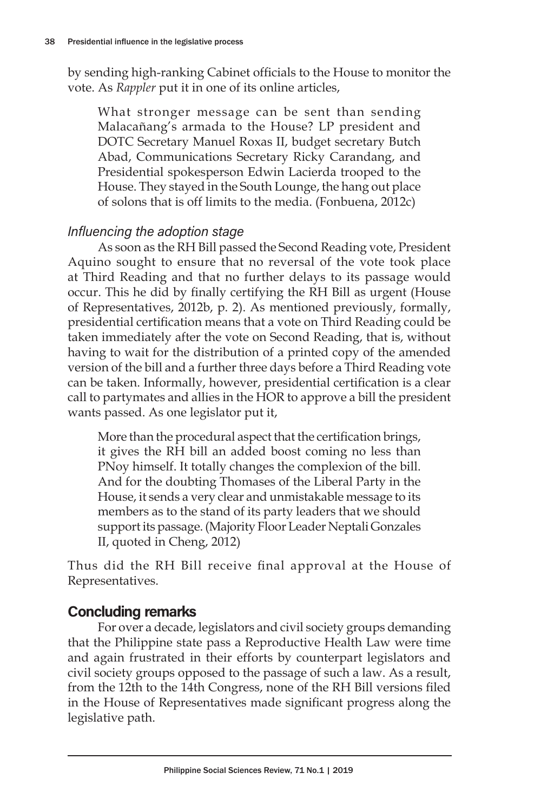by sending high-ranking Cabinet officials to the House to monitor the vote. As *Rappler* put it in one of its online articles,

What stronger message can be sent than sending Malacañang's armada to the House? LP president and DOTC Secretary Manuel Roxas II, budget secretary Butch Abad, Communications Secretary Ricky Carandang, and Presidential spokesperson Edwin Lacierda trooped to the House. They stayed in the South Lounge, the hang out place of solons that is off limits to the media. (Fonbuena, 2012c)

## Influencing the adoption stage

As soon as the RH Bill passed the Second Reading vote, President Aquino sought to ensure that no reversal of the vote took place at Third Reading and that no further delays to its passage would occur. This he did by finally certifying the RH Bill as urgent (House of Representatives, 2012b, p. 2). As mentioned previously, formally, presidential certification means that a vote on Third Reading could be taken immediately after the vote on Second Reading, that is, without having to wait for the distribution of a printed copy of the amended version of the bill and a further three days before a Third Reading vote can be taken. Informally, however, presidential certification is a clear call to partymates and allies in the HOR to approve a bill the president wants passed. As one legislator put it,

More than the procedural aspect that the certification brings, it gives the RH bill an added boost coming no less than PNoy himself. It totally changes the complexion of the bill. And for the doubting Thomases of the Liberal Party in the House, it sends a very clear and unmistakable message to its members as to the stand of its party leaders that we should support its passage. (Majority Floor Leader Neptali Gonzales II, quoted in Cheng, 2012)

Thus did the RH Bill receive final approval at the House of Representatives.

# Concluding remarks

For over a decade, legislators and civil society groups demanding that the Philippine state pass a Reproductive Health Law were time and again frustrated in their efforts by counterpart legislators and civil society groups opposed to the passage of such a law. As a result, from the 12th to the 14th Congress, none of the RH Bill versions filed in the House of Representatives made significant progress along the legislative path.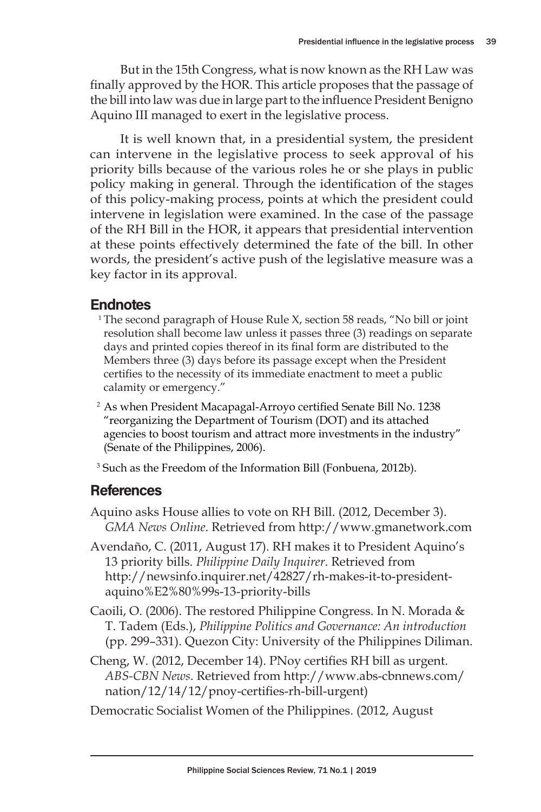But in the 15th Congress, what is now known as the RH Law was finally approved by the HOR. This article proposes that the passage of the bill into law was due in large part to the influence President Benigno Aquino III managed to exert in the legislative process.

It is well known that, in a presidential system, the president can intervene in the legislative process to seek approval of his priority bills because of the various roles he or she plays in public policy making in general. Through the identification of the stages of this policy-making process, points at which the president could intervene in legislation were examined. In the case of the passage of the RH Bill in the HOR, it appears that presidential intervention at these points effectively determined the fate of the bill. In other words, the president's active push of the legislative measure was a key factor in its approval.

#### Endnotes

- <sup>1</sup> The second paragraph of House Rule  $X<sub>t</sub>$  section 58 reads, "No bill or joint resolution shall become law unless it passes three (3) readings on separate days and printed copies thereof in its final form are distributed to the Members three (3) days before its passage except when the President certifies to the necessity of its immediate enactment to meet a public calamity or emergency."
- <sup>2</sup> As when President Macapagal-Arroyo certified Senate Bill No. 1238 "reorganizing the Department of Tourism (DOT) and its attached agencies to boost tourism and attract more investments in the industry" (Senate of the Philippines, 2006).

<sup>3</sup> Such as the Freedom of the Information Bill (Fonbuena, 2012b).

# **References**

Aquino asks House allies to vote on RH Bill. (2012, December 3). *GMA News Online*. Retrieved from http://www.gmanetwork.com

Avendaño, C. (2011, August 17). RH makes it to President Aquino's 13 priority bills. *Philippine Daily Inquirer*. Retrieved from http://newsinfo.inquirer.net/42827/rh-makes-it-to-presidentaquino%E2%80%99s-13-priority-bills

Caoili, O. (2006). The restored Philippine Congress. In N. Morada & T. Tadem (Eds.), *Philippine Politics and Governance: An introduction* (pp. 299–331). Quezon City: University of the Philippines Diliman.

Cheng, W. (2012, December 14). PNoy certifies RH bill as urgent. *ABS-CBN News*. Retrieved from http://www.abs-cbnnews.com/ nation/12/14/12/pnoy-certifies-rh-bill-urgent)

Democratic Socialist Women of the Philippines. (2012, August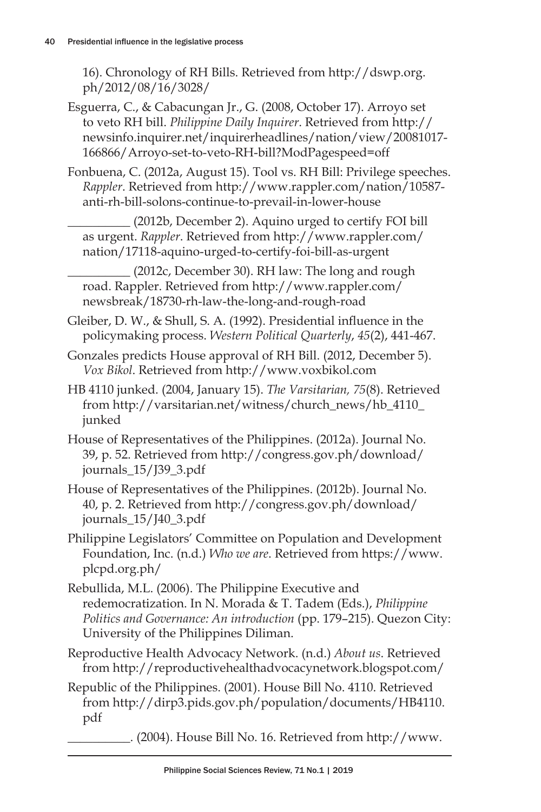16). Chronology of RH Bills. Retrieved from http://dswp.org. ph/2012/08/16/3028/

- Esguerra, C., & Cabacungan Jr., G. (2008, October 17). Arroyo set to veto RH bill. *Philippine Daily Inquirer*. Retrieved from http:// newsinfo.inquirer.net/inquirerheadlines/nation/view/20081017- 166866/Arroyo-set-to-veto-RH-bill?ModPagespeed=off
- Fonbuena, C. (2012a, August 15). Tool vs. RH Bill: Privilege speeches. *Rappler*. Retrieved from http://www.rappler.com/nation/10587 anti-rh-bill-solons-continue-to-prevail-in-lower-house

\_\_\_\_\_\_\_\_\_\_ (2012b, December 2). Aquino urged to certify FOI bill as urgent. *Rappler*. Retrieved from http://www.rappler.com/ nation/17118-aquino-urged-to-certify-foi-bill-as-urgent

\_\_\_\_\_\_\_\_\_\_ (2012c, December 30). RH law: The long and rough road. Rappler. Retrieved from http://www.rappler.com/ newsbreak/18730-rh-law-the-long-and-rough-road

Gleiber, D. W., & Shull, S. A. (1992). Presidential influence in the policymaking process. *Western Political Quarterly*, *45*(2), 441-467.

- Gonzales predicts House approval of RH Bill. (2012, December 5). *Vox Bikol*. Retrieved from http://www.voxbikol.com
- HB 4110 junked. (2004, January 15). *The Varsitarian, 75*(8). Retrieved from http://varsitarian.net/witness/church\_news/hb\_4110\_ junked
- House of Representatives of the Philippines. (2012a). Journal No. 39, p. 52. Retrieved from http://congress.gov.ph/download/ journals\_15/J39\_3.pdf
- House of Representatives of the Philippines. (2012b). Journal No. 40, p. 2. Retrieved from http://congress.gov.ph/download/ journals\_15/J40\_3.pdf
- Philippine Legislators' Committee on Population and Development Foundation, Inc. (n.d.) *Who we are*. Retrieved from https://www. plcpd.org.ph/
- Rebullida, M.L. (2006). The Philippine Executive and redemocratization. In N. Morada & T. Tadem (Eds.), *Philippine Politics and Governance: An introduction* (pp. 179–215). Quezon City: University of the Philippines Diliman.
- Reproductive Health Advocacy Network. (n.d.) *About us*. Retrieved from http://reproductivehealthadvocacynetwork.blogspot.com/
- Republic of the Philippines. (2001). House Bill No. 4110. Retrieved from http://dirp3.pids.gov.ph/population/documents/HB4110. pdf
	- \_\_\_\_\_\_\_\_\_\_. (2004). House Bill No. 16. Retrieved from http://www.